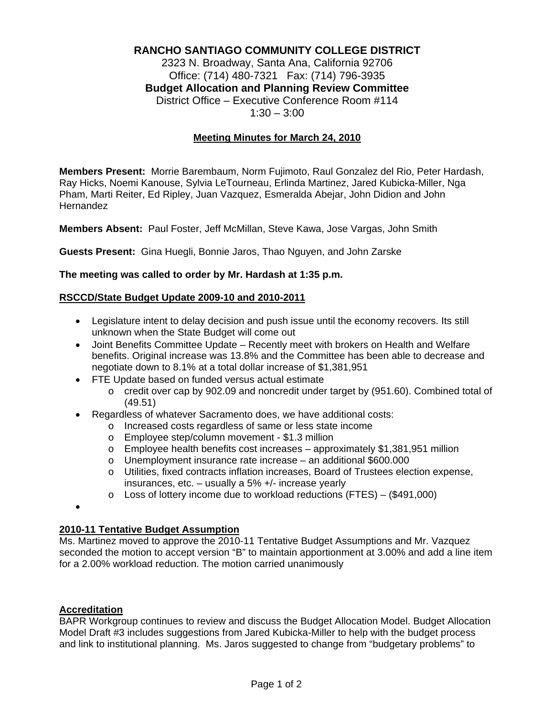# **RANCHO SANTIAGO COMMUNITY COLLEGE DISTRICT**

2323 N. Broadway, Santa Ana, California 92706 Office: (714) 480-7321 Fax: (714) 796-3935 **Budget Allocation and Planning Review Committee** District Office – Executive Conference Room #114  $1:30 - 3:00$ 

## **Meeting Minutes for March 24, 2010**

**Members Present:** Morrie Barembaum, Norm Fujimoto, Raul Gonzalez del Rio, Peter Hardash, Ray Hicks, Noemi Kanouse, Sylvia LeTourneau, Erlinda Martinez, Jared Kubicka-Miller, Nga Pham, Marti Reiter, Ed Ripley, Juan Vazquez, Esmeralda Abejar, John Didion and John Hernandez

**Members Absent:** Paul Foster, Jeff McMillan, Steve Kawa, Jose Vargas, John Smith

**Guests Present:** Gina Huegli, Bonnie Jaros, Thao Nguyen, and John Zarske

#### **The meeting was called to order by Mr. Hardash at 1:35 p.m.**

#### **RSCCD/State Budget Update 2009-10 and 2010-2011**

- Legislature intent to delay decision and push issue until the economy recovers. Its still unknown when the State Budget will come out
- Joint Benefits Committee Update Recently meet with brokers on Health and Welfare benefits. Original increase was 13.8% and the Committee has been able to decrease and negotiate down to 8.1% at a total dollar increase of \$1,381,951
- FTE Update based on funded versus actual estimate
	- $\circ$  credit over cap by 902.09 and noncredit under target by (951.60). Combined total of (49.51)
- Regardless of whatever Sacramento does, we have additional costs:
	- o Increased costs regardless of same or less state income
		- o Employee step/column movement \$1.3 million
	- $\circ$  Employee health benefits cost increases approximately \$1,381,951 million
	- o Unemployment insurance rate increase an additional \$600.000
	- o Utilities, fixed contracts inflation increases, Board of Trustees election expense, insurances, etc. – usually a 5% +/- increase yearly
	- o Loss of lottery income due to workload reductions (FTES) (\$491,000)

•

## **2010-11 Tentative Budget Assumption**

Ms. Martinez moved to approve the 2010-11 Tentative Budget Assumptions and Mr. Vazquez seconded the motion to accept version "B" to maintain apportionment at 3.00% and add a line item for a 2.00% workload reduction. The motion carried unanimously

### **Accreditation**

BAPR Workgroup continues to review and discuss the Budget Allocation Model. Budget Allocation Model Draft #3 includes suggestions from Jared Kubicka-Miller to help with the budget process and link to institutional planning. Ms. Jaros suggested to change from "budgetary problems" to